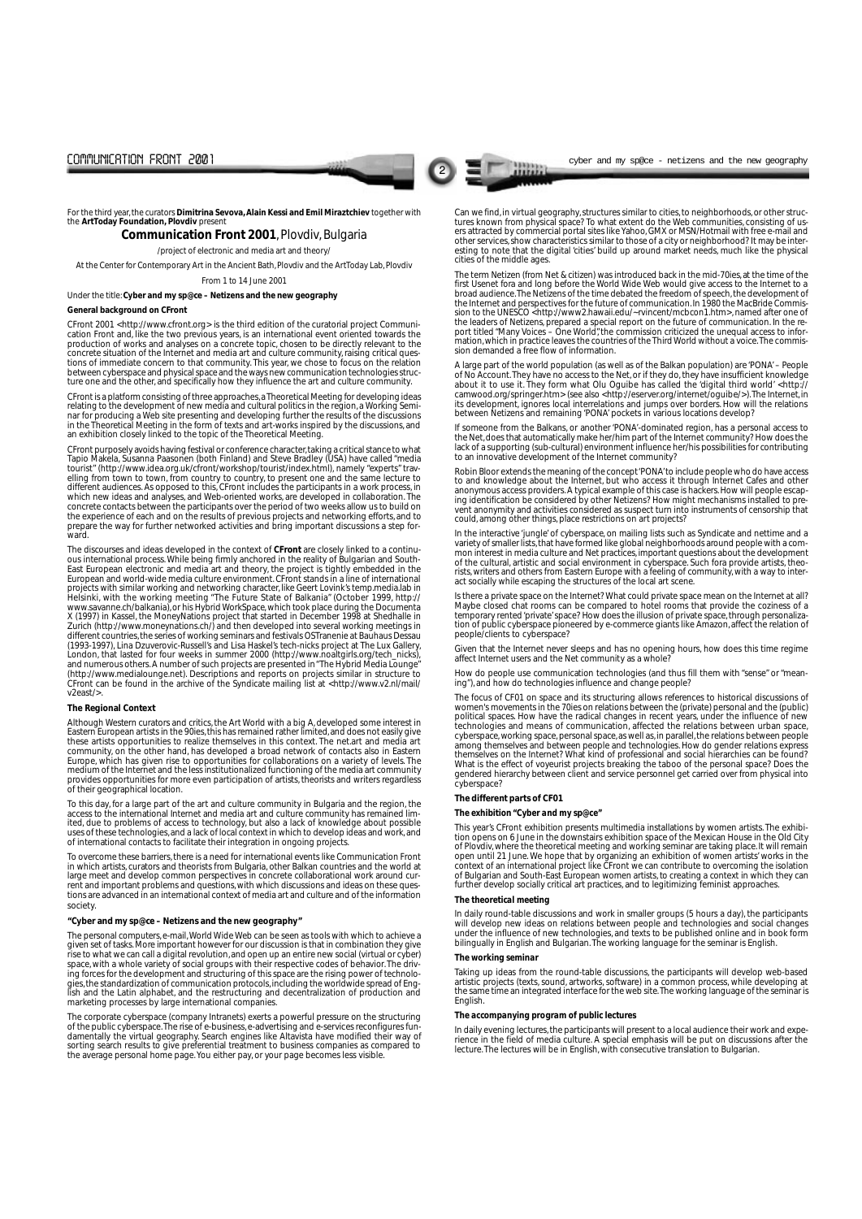communication front 2001 cyber and my sp@ce - netizens and the new geography

For the third year, the curators **Dimitrina Sevova, Alain Kessi and Emil Miraztchiev** together with the **ArtToday Foundation, Plovdiv** present

# **Communication Front 2001**, Plovdiv, Bulgaria

/project of electronic and media art and theory/

At the Center for Contemporary Art in the Ancient Bath, Plovdiv and the ArtToday Lab, Plovdiv

From 1 to 14 June 2001

Under the title: **Cyber and my sp@ce – Netizens and the new geography**

### **General background on CFront**

CFront 2001 <http://www.cfront.org> is the third edition of the curatorial project Communication Front and, like the two previous years, is an international event oriented towards the production of works and analyses on a concrete topic, chosen to be directly relevant to the concrete situation of the Internet and media art and culture community, raising critical questions of immediate concern to that community. This year, we chose to focus on the relation between cyberspace and physical space and the ways new communication technologies structure one and the other, and specifically how they influence the art and culture community.

CFront is a platform consisting of three approaches, a Theoretical Meeting for developing ideas relating to the development of new media and cultural politics in the region, a Working Seminar for producing a Web site presenting and developing further the results of the discussions in the Theoretical Meeting in the form of texts and art-works inspired by the discussions, and an exhibition closely linked to the topic of the Theoretical Meeting.

CFront purposely avoids having festival or conference character, taking a critical stance to what Tapio Makela, Susanna Paasonen (both Finland) and Steve Bradley (USA) have called "media tourist" (http://www.idea.org.uk/cfront/workshop/tourist/index.html), namely "experts" travelling from town to town, from country to country, to present one and the same lecture to different audiences. As opposed to this, CFront includes the participants in a work process, in which new ideas and analyses, and Web-oriented works, are developed in collaboration. The concrete contacts between the participants over the period of two weeks allow us to build on the experience of each and on the results of previous projects and networking efforts, and to prepare the way for further networked activities and bring important discussions a step forward.

The discourses and ideas developed in the context of **CFront** are closely linked to a continuous international process. While being firmly anchored in the reality of Bulgarian and South-East European electronic and media art and theory, the project is tightly embedded in the European and world-wide media culture environment. CFront stands in a line of international projects with similar working and networking character, like Geert Lovink's temp.media.lab in Helsinki, with the working meeting "The Future State of Balkania" (October 1999, http:// www.savanne.ch/balkania), or his Hybrid WorkSpace, which took place during the Documenta X (1997) in Kassel, the MoneyNations project that started in December 1998 at Shedhalle in Zurich (http://www.moneynations.ch/) and then developed into several working meetings in different countries, the series of working seminars and festivals OSTranenie at Bauhaus Dessau (1993-1997), Lina Dzuverovic-Russell's and Lisa Haskel's tech-nicks project at The Lux Gallery, London, that lasted for four weeks in summer 2000 (http://www.noaltgirls.org/tech\_nicks), and numerous others. A number of such projects are presented in "The Hybrid Media Lounge" (http://www.medialounge.net). Descriptions and reports on projects similar in structure to CFront can be found in the archive of the Syndicate mailing list at <http://www.v2.nl/mail/ v2east/>.

### **The Regional Context**

Although Western curators and critics, the Art World with a big A, developed some interest in Eastern European artists in the 90ies, this has remained rather limited, and does not easily give these artists opportunities to realize themselves in this context. The net.art and media art community, on the other hand, has developed a broad network of contacts also in Eastern Europe, which has given rise to opportunities for collaborations on a variety of levels. The medium of the Internet and the less institutionalized functioning of the media art community provides opportunities for more even participation of artists, theorists and writers regardless of their geographical location.

To this day, for a large part of the art and culture community in Bulgaria and the region, the access to the international Internet and media art and culture community has remained limited, due to problems of access to technology, but also a lack of knowledge about possible uses of these technologies, and a lack of local context in which to develop ideas and work, and of international contacts to facilitate their integration in ongoing projects.

To overcome these barriers, there is a need for international events like Communication Front in which artists, curators and theorists from Bulgaria, other Balkan countries and the world at large meet and develop common perspectives in concrete collaborational work around current and important problems and questions, with which discussions and ideas on these questions are advanced in an international context of media art and culture and of the information society.

### **"Cyber and my sp@ce – Netizens and the new geography"**

The personal computers, e-mail, World Wide Web can be seen as tools with which to achieve a given set of tasks. More important however for our discussion is that in combination they give rise to what we can call a digital revolution, and open up an entire new social (virtual or cyber) space, with a whole variety of social groups with their respective codes of behavior. The driving forces for the development and structuring of this space are the rising power of technologies, the standardization of communication protocols, including the worldwide spread of English and the Latin alphabet, and the restructuring and decentralization of production and marketing processes by large international companies.

The corporate cyberspace (company Intranets) exerts a powerful pressure on the structuring of the public cyberspace. The rise of e-business, e-advertising and e-services reconfigures fundamentally the virtual geography. Search engines like Altavista have modified their way of sorting search results to give preferential treatment to business companies as compared to the average personal home page. You either pay, or your page becomes less visible.

Can we find, in virtual geography, structures similar to cities, to neighborhoods, or other structures known from physical space? To what extent do the Web communities, consisting of users attracted by commercial portal sites like Yahoo, GMX or MSN/Hotmail with free e-mail and other services, show characteristics similar to those of a city or neighborhood? It may be interesting to note that the digital 'cities' build up around market needs, much like the physical cities of the middle ages.

The term Netizen (from Net & citizen) was introduced back in the mid-70ies, at the time of the first Usenet fora and long before the World Wide Web would give access to the Internet to a broad audience. The Netizens of the time debated the freedom of speech, the development of the Internet and perspectives for the future of communication. In 1980 the MacBride Commission to the UNESCO <http://www2.hawaii.edu/~rvincent/mcbcon1.htm>, named after one of the leaders of Netizens, prepared a special report on the future of communication. In the report titled "Many Voices – One World", the commission criticized the unequal access to information, which in practice leaves the countries of the Third World without a voice. The commission demanded a free flow of information.

A large part of the world population (as well as of the Balkan population) are 'PONA' – People of No Account. They have no access to the Net, or if they do, they have insufficient knowledge about it to use it. They form what Olu Oguibe has called the 'digital third world' <http:// camwood.org/springer.htm> (see also <http://eserver.org/internet/oguibe/>). The Internet, in its development, ignores local interrelations and jumps over borders. How will the relations between Netizens and remaining 'PONA' pockets in various locations develop?

If someone from the Balkans, or another 'PONA'-dominated region, has a personal access to the Net, does that automatically make her/him part of the Internet community? How does the lack of a supporting (sub-cultural) environment influence her/his possibilities for contributing to an innovative development of the Internet community?

Robin Bloor extends the meaning of the concept 'PONA' to include people who do have access to and knowledge about the Internet, but who access it through Internet Cafes and other anonymous access providers. A typical example of this case is hackers. How will people escaping identification be considered by other Netizens? How might mechanisms installed to prevent anonymity and activities considered as suspect turn into instruments of censorship that could, among other things, place restrictions on art projects?

In the interactive 'jungle' of cyberspace, on mailing lists such as Syndicate and nettime and a variety of smaller lists, that have formed like global neighborhoods around people with a common interest in media culture and Net practices, important questions about the development of the cultural, artistic and social environment in cyberspace. Such fora provide artists, theorists, writers and others from Eastern Europe with a feeling of community, with a way to interact socially while escaping the structures of the local art scene.

Is there a private space on the Internet? What could private space mean on the Internet at all? Maybe closed chat rooms can be compared to hotel rooms that provide the coziness of a temporary rented 'private' space? How does the illusion of private space, through personalization of public cyberspace pioneered by e-commerce giants like Amazon, affect the relation of people/clients to cyberspace?

Given that the Internet never sleeps and has no opening hours, how does this time regime affect Internet users and the Net community as a whole?

How do people use communication technologies (and thus fill them with "sense" or "meaning"), and how do technologies influence and change people?

The focus of CF01 on space and its structuring allows references to historical discussions of women's movements in the 70ies on relations between the (private) personal and the (public) political spaces. How have the radical changes in recent years, under the influence of new technologies and means of communication, affected the relations between urban space, cyberspace, working space, personal space, as well as, in parallel, the relations between people among themselves and between people and technologies. How do gender relations express themselves on the Internet? What kind of professional and social hierarchies can be found? What is the effect of voyeurist projects breaking the taboo of the personal space? Does the gendered hierarchy between client and service personnel get carried over from physical into cyberspace?

### **The different parts of CF01**

### *The exhibition "Cyber and my sp@ce"*

This year's CFront exhibition presents multimedia installations by women artists. The exhibition opens on 6 June in the downstairs exhibition space of the Mexican House in the Old City of Plovdiv, where the theoretical meeting and working seminar are taking place. It will remain open until 21 June. We hope that by organizing an exhibition of women artists' works in the context of an international project like CFront we can contribute to overcoming the isolation of Bulgarian and South-East European women artists, to creating a context in which they can further develop socially critical art practices, and to legitimizing feminist approaches.

### *The theoretical meeting*

In daily round-table discussions and work in smaller groups (5 hours a day), the participants

will develop new ideas on relations between people and technologies and social changes under the influence of new technologies, and texts to be published online and in book form bilingually in English and Bulgarian. The working language for the seminar is English.

### *The working seminar*

Taking up ideas from the round-table discussions, the participants will develop web-based artistic projects (texts, sound, artworks, software) in a common process, while developing at the same time an integrated interface for the web site. The working language of the seminar is English.

### *The accompanying program of public lectures*

In daily evening lectures, the participants will present to a local audience their work and experience in the field of media culture. A special emphasis will be put on discussions after the lecture. The lectures will be in English, with consecutive translation to Bulgarian.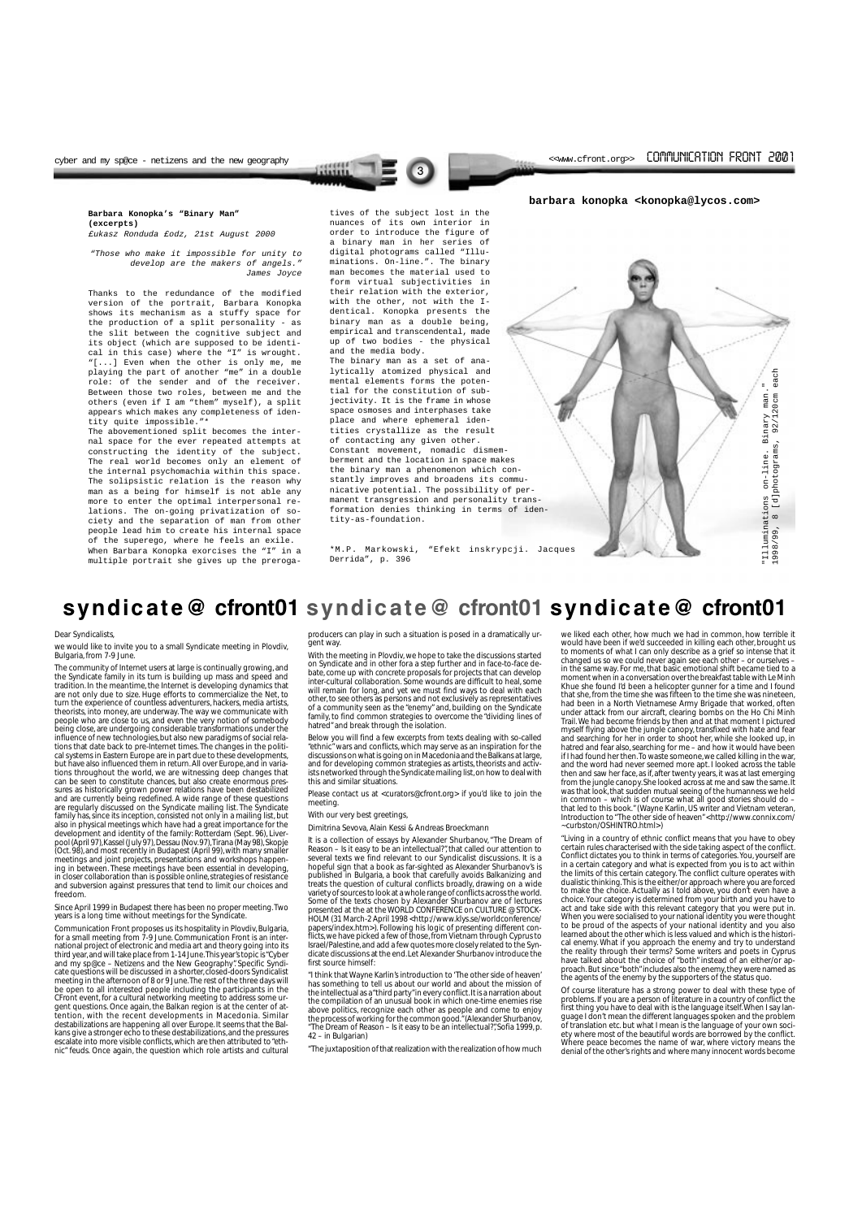### **Barbara Konopka's "Binary Man" (excerpts)**

£ukasz Ronduda £odz, 21st August 2000

"Those who make it impossible for unity to develop are the makers of angels." James Joyce

Thanks to the redundance of the modified version of the portrait, Barbara Konopka shows its mechanism as a stuffy space for the production of a split personality - as the slit between the cognitive subject and its object (which are supposed to be identical in this case) where the "I" is wrought. "[...] Even when the other is only me, me playing the part of another "me" in a double role: of the sender and of the receiver. Between those two roles, between me and the others (even if I am "them" myself), a split appears which makes any completeness of identity quite impossible."\*

The abovementioned split becomes the internal space for the ever repeated attempts at constructing the identity of the subject. The real world becomes only an element of the internal psychomachia within this space. The solipsistic relation is the reason why man as a being for himself is not able any more to enter the optimal interpersonal relations. The on-going privatization of society and the separation of man from other people lead him to create his internal space of the superego, where he feels an exile. When Barbara Konopka exorcises the "I" in a multiple portrait she gives up the preroga-

tives of the subject lost in the nuances of its own interior in order to introduce the figure of a binary man in her series of digital photograms called "Illuminations. On-line.". The binary man becomes the material used to form virtual subjectivities in their relation with the exterior, with the other, not with the Identical. Konopka presents the binary man as a double being, empirical and transcendental, made up of two bodies - the physical and the media body.

The binary man as a set of analytically atomized physical and mental elements forms the potential for the constitution of subjectivity. It is the frame in whose space osmoses and interphases take place and where ephemeral identities crystallize as the result of contacting any given other. Constant movement, nomadic dismemberment and the location in space makes the binary man a phenomenon which constantly improves and broadens its communicative potential. The possibility of permanent transgression and personality transformation denies thinking in terms of identity-as-foundation.

\*M.P. Markowski, "Efekt inskrypcji. Jacques Derrida", p. 396

# syndicate@cfront01 syndicate@cfront01 syndicate@cfront01

**barbara konopka <konopka@lycos.com>**

"Illuminations on-line. Binary man." 1998/99, 8 [d]photograms, 92/120cm each

ons on-line. Bi<br>[d]photograms,

uminations<br>(99, 8 [d]p;  $/99,$ "I11u<br>1998/

each

man E  $120$ Binary  $92/$ 

### Dear Syndicalists,

we would like to invite you to a small Syndicate meeting in Plovdiv, Bulgaria, from 7-9 June.

> Please contact us at <curators@cfront.org> if you'd like to join the meeting.

The community of Internet users at large is continually growing, and the Syndicate family in its turn is building up mass and speed and tradition. In the meantime, the Internet is developing dynamics that are not only due to size. Huge efforts to commercialize the Net, to turn the experience of countless adventurers, hackers, media artists, theorists, into money, are underway. The way we communicate with people who are close to us, and even the very notion of somebody being close, are undergoing considerable transformations under the influence of new technologies, but also new paradigms of social relations that date back to pre-Internet times. The changes in the political systems in Eastern Europe are in part due to these developments, but have also influenced them in return. All over Europe, and in variations throughout the world, we are witnessing deep changes that can be seen to constitute chances, but also create enormous pressures as historically grown power relations have been destabilized and are currently being redefined. A wide range of these questions are regularly discussed on the Syndicate mailing list. The Syndicate family has, since its inception, consisted not only in a mailing list, but also in physical meetings which have had a great importance for the development and identity of the family: Rotterdam (Sept. 96), Liverpool (April 97), Kassel (July 97), Dessau (Nov. 97), Tirana (May 98), Skopje (Oct. 98), and most recently in Budapest (April 99), with many smaller meetings and joint projects, presentations and workshops happening in between. These meetings have been essential in developing, in closer collaboration than is possible online, strategies of resistance and subversion against pressures that tend to limit our choices and freedom.

Since April 1999 in Budapest there has been no proper meeting. Two years is a long time without meetings for the Syndicate.

Communication Front proposes us its hospitality in Plovdiv, Bulgaria, for a small meeting from 7-9 June. Communication Front is an international project of electronic and media art and theory going into its third year, and will take place from 1-14 June. This year's topic is "Cyber and my sp@ce – Netizens and the New Geography". Specific Syndicate questions will be discussed in a shorter, closed-doors Syndicalist meeting in the afternoon of 8 or 9 June. The rest of the three days will be open to all interested people including the participants in the CFront event, for a cultural networking meeting to address some urgent questions. Once again, the Balkan region is at the center of attention, with the recent developments in Macedonia. Similar destabilizations are happening all over Europe. It seems that the Balkans give a stronger echo to these destabilizations, and the pressures escalate into more visible conflicts, which are then attributed to "ethnic" feuds. Once again, the question which role artists and cultural producers can play in such a situation is posed in a dramatically urgent way.

With the meeting in Plovdiv, we hope to take the discussions started on Syndicate and in other fora a step further and in face-to-face debate, come up with concrete proposals for projects that can develop inter-cultural collaboration. Some wounds are difficult to heal, some will remain for long, and yet we must find ways to deal with each other, to see others as persons and not exclusively as representatives of a community seen as the "enemy" and, building on the Syndicate family, to find common strategies to overcome the "dividing lines of hatred" and break through the isolation.

Below you will find a few excerpts from texts dealing with so-called "ethnic" wars and conflicts, which may serve as an inspiration for the discussions on what is going on in Macedonia and the Balkans at large, and for developing common strategies as artists, theorists and activists networked through the Syndicate mailing list, on how to deal with this and similar situations.

### With our very best greetings,

Dimitrina Sevova, Alain Kessi & Andreas Broeckmann

It is a collection of essays by Alexander Shurbanov, "The Dream of Reason – Is it easy to be an intellectual?", that called our attention to several texts we find relevant to our Syndicalist discussions. It is a hopeful sign that a book as far-sighted as Alexander Shurbanov's is published in Bulgaria, a book that carefully avoids Balkanizing and treats the question of cultural conflicts broadly, drawing on a wide variety of sources to look at a whole range of conflicts across the world. Some of the texts chosen by Alexander Shurbanov are of lectures presented at the at the WORLD CONFERENCE on CULTURE @ STOCK-HOLM (31 March-2 April 1998 <http://www.klys.se/worldconference/ papers/index.htm>). Following his logic of presenting different conflicts, we have picked a few of those, from Vietnam through Cyprus to Israel/Palestine, and add a few quotes more closely related to the Syndicate discussions at the end. Let Alexander Shurbanov introduce the first source himself:

"I think that Wayne Karlin's introduction to 'The other side of heaven' has something to tell us about our world and about the mission of the intellectual as a "third party" in every conflict. It is a narration about the compilation of an unusual book in which one-time enemies rise above politics, recognize each other as people and come to enjoy the process of working for the common good." (Alexander Shurbanov, "The Dream of Reason – Is it easy to be an intellectual?", Sofia 1999, p. 42 – in Bulgarian)

"The juxtaposition of that realization with the realization of how much

we liked each other, how much we had in common, how terrible it would have been if we'd succeeded in killing each other, brought us to moments of what I can only describe as a grief so intense that it changed us so we could never again see each other – or ourselves – in the same way. For me, that basic emotional shift became tied to a moment when in a conversation over the breakfast table with Le Minh Khue she found I'd been a helicopter gunner for a time and I found that she, from the time she was fifteen to the time she was nineteen, had been in a North Vietnamese Army Brigade that worked, often under attack from our aircraft, clearing bombs on the Ho Chi Minh Trail. We had become friends by then and at that moment I pictured myself flying above the jungle canopy, transfixed with hate and fear and searching for her in order to shoot her, while she looked up, in hatred and fear also, searching for me – and how it would have been if I had found her then. To waste someone, we called killing in the war, and the word had never seemed more apt. I looked across the table then and saw her face, as if, after twenty years, it was at last emerging from the jungle canopy. She looked across at me and saw the same. It was that look, that sudden mutual seeing of the humanness we held in common – which is of course what all good stories should do – that led to this book." (Wayne Karlin, US writer and Vietnam veteran, Introduction to "The other side of heaven" <http://www.connix.com/ ~curbston/OSHINTRO.html>)

"Living in a country of ethnic conflict means that you have to obey certain rules characterised with the side taking aspect of the conflict. Conflict dictates you to think in terms of categories. You, yourself are in a certain category and what is expected from you is to act within the limits of this certain category. The conflict culture operates with dualistic thinking. This is the either/or approach where you are forced to make the choice. Actually as I told above, you don't even have a choice. Your category is determined from your birth and you have to act and take side with this relevant category that you were put in. When you were socialised to your national identity you were thought to be proud of the aspects of your national identity and you also learned about the other which is less valued and which is the historical enemy. What if you approach the enemy and try to understand the reality through their terms? Some writers and poets in Cyprus have talked about the choice of "both" instead of an either/or approach. But since "both" includes also the enemy, they were named as the agents of the enemy by the supporters of the status quo.

Of course literature has a strong power to deal with these type of problems. If you are a person of literature in a country of conflict the first thing you have to deal with is the language itself. When I say language I don't mean the different languages spoken and the problem of translation etc. but what I mean is the language of your own society where most of the beautiful words are borrowed by the conflict. Where peace becomes the name of war, where victory means the denial of the other's rights and where many innocent words become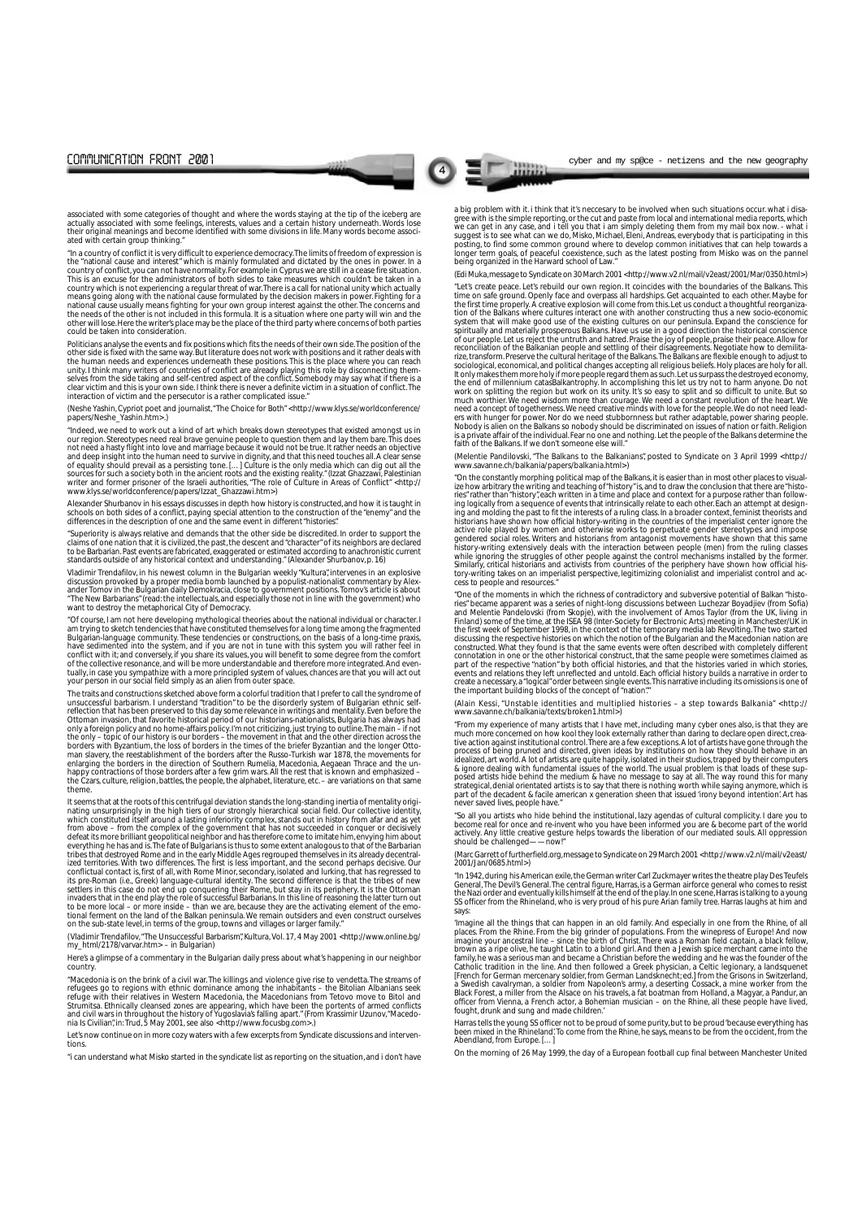associated with some categories of thought and where the words staying at the tip of the iceberg are actually associated with some feelings, interests, values and a certain history underneath. Words lose their original meanings and become identified with some divisions in life. Many words become associated with certain group thinking.

"In a country of conflict it is very difficult to experience democracy. The limits of freedom of expression is the "national cause and interest" which is mainly formulated and dictated by the ones in power. In a country of conflict, you can not have normality. For example in Cyprus we are still in a cease fire situation. This is an excuse for the administrators of both sides to take measures which couldn't be taken in a country which is not experiencing a regular threat of war. There is a call for national unity which actually means going along with the national cause formulated by the decision makers in power. Fighting for a national cause usually means fighting for your own group interest against the other. The concerns and the needs of the other is not included in this formula. It is a situation where one party will win and the other will lose. Here the writer's place may be the place of the third party where concerns of both parties could be taken into consideration.

(Neshe Yashin, Cypriot poet and journalist, "The Choice for Both" <http://www.klys.se/worldconference/ papers/Neshe\_Yashin.htm>.)

Politicians analyse the events and fix positions which fits the needs of their own side. The position of the other side is fixed with the same way. But literature does not work with positions and it rather deals with the human needs and experiences underneath these positions. This is the place where you can reach unity. I think many writers of countries of conflict are already playing this role by disconnecting themselves from the side taking and self-centred aspect of the conflict. Somebody may say what if there is a clear victim and this is your own side. I think there is never a definite victim in a situation of conflict. The interaction of victim and the persecutor is a rather complicated issue."

"Of course, I am not here developing mythological theories about the national individual or character. I am trying to sketch tendencies that have constituted themselves for a long time among the fragmented Bulgarian-language community. These tendencies or constructions, on the basis of a long-time praxis, have sedimented into the system, and if you are not in tune with this system you will rather feel in conflict with it; and conversely, if you share its values, you will benefit to some degree from the comfort of the collective resonance, and will be more understandable and therefore more integrated. And eventually, in case you sympathize with a more principled system of values, chances are that you will act out your person in our social field simply as an alien from outer space

"Indeed, we need to work out a kind of art which breaks down stereotypes that existed amongst us in our region. Stereotypes need real brave genuine people to question them and lay them bare. This does not need a hasty flight into love and marriage because it would not be true. It rather needs an objective and deep insight into the human need to survive in dignity, and that this need touches all. A clear sense of equality should prevail as a persisting tone. […] Culture is the only media which can dig out all the sources for such a society both in the ancient roots and the existing reality." (Izzat Ghazzawi, Palestinian writer and former prisoner of the Israeli authorities, "The role of Culture in Areas of Conflict" <http:// www.klys.se/worldconference/papers/Izzat\_Ghazzawi.htm>)

Alexander Shurbanov in his essays discusses in depth how history is constructed, and how it is taught in schools on both sides of a conflict, paying special attention to the construction of the "enemy" and the differences in the description of one and the same event in different "histories".

"Superiority is always relative and demands that the other side be discredited. In order to support the claims of one nation that it is civilized, the past, the descent and "character" of its neighbors are declared to be Barbarian. Past events are fabricated, exaggerated or estimated according to anachronistic current standards outside of any historical context and understanding." (Alexander Shurbanov, p. 16)

Vladimir Trendafilov, in his newest column in the Bulgarian weekly "Kultura", intervenes in an explosive discussion provoked by a proper media bomb launched by a populist-nationalist commentary by Alexander Tomov in the Bulgarian daily Demokracia, close to government positions. Tomov's article is about "The New Barbarians" (read: the intellectuals, and especially those not in line with the government) who want to destroy the metaphorical City of Democracy.

"Let's create peace. Let's rebuild our own region. It coincides with the boundaries of the Balkans. This time on safe ground. Openly face and overpass all hardships. Get acquainted to each other. Maybe for the first time properly. A creative explosion will come from this. Let us conduct a thoughtful reorganization of the Balkans where cultures interact one with another constructing thus a new socio-economic system that will make good use of the existing cultures on our peninsula. Expand the conscience for spiritually and materially prosperous Balkans. Have us use in a good direction the historical conscience of our people. Let us reject the untruth and hatred. Praise the joy of people, praise their peace. Allow for reconciliation of the Balkanian people and settling of their disagreements. Negotiate how to demilitarize, transform. Preserve the cultural heritage of the Balkans. The Balkans are flexible enough to adjust to sociological, economical, and political changes accepting all religious beliefs. Holy places are holy for all. It only makes them more holy if more people regard them as such. Let us surpass the destroyed economy the end of millennium catasBalkantrophy. In accomplishing this let us try not to harm anyone. Do not work on splitting the region but work on its unity. It's so easy to split and so difficult to unite. But so much worthier. We need wisdom more than courage. We need a constant revolution of the heart. We need a concept of togetherness. We need creative minds with love for the people. We do not need leaders with hunger for power. Nor do we need stubbornness but rather adaptable, power sharing people. Nobody is alien on the Balkans so nobody should be discriminated on issues of nation or faith. Religion is a private affair of the individual. Fear no one and nothing. Let the people of the Balkans determine the faith of the Balkans. If we don't someone else will.

The traits and constructions sketched above form a colorful tradition that I prefer to call the syndrome of unsuccessful barbarism. I understand "tradition" to be the disorderly system of Bulgarian ethnic selfreflection that has been preserved to this day some relevance in writings and mentality. Even before the Ottoman invasion, that favorite historical period of our historians-nationalists, Bulgaria has always had only a foreign policy and no home-affairs policy. I'm not criticizing, just trying to outline. The main – if not the only – topic of our history is our borders – the movement in that and the other direction across the borders with Byzantium, the loss of borders in the times of the briefer Byzantian and the longer Ottoman slavery, the reestablishment of the borders after the Russo-Turkish war 1878, the movements for enlarging the borders in the direction of Southern Rumelia, Macedonia, Aegaean Thrace and the unhappy contractions of those borders after a few grim wars. All the rest that is known and emphasized – the Czars, culture, religion, battles, the people, the alphabet, literature, etc. – are variations on that same theme.

It seems that at the roots of this centrifugal deviation stands the long-standing inertia of mentality originating unsurprisingly in the high tiers of our strongly hierarchical social field. Our collective identity, which constituted itself around a lasting inferiority complex, stands out in history from afar and as yet from above – from the complex of the government that has not succeeded in conquer or decisively defeat its more brilliant geopolitical neighbor and has therefore come to imitate him, envying him about everything he has and is. The fate of Bulgarians is thus to some extent analogous to that of the Barbarian tribes that destroyed Rome and in the early Middle Ages regrouped themselves in its already decentralized territories. With two differences. The first is less important, and the second perhaps decisive. Our conflictual contact is, first of all, with Rome Minor, secondary, isolated and lurking, that has regressed to its pre-Roman (i.e., Greek) language-cultural identity. The second difference is that the tribes of new settlers in this case do not end up conquering their Rome, but stay in its periphery. It is the Ottoman invaders that in the end play the role of successful Barbarians. In this line of reasoning the latter turn out to be more local – or more inside – than we are, because they are the activating element of the emotional ferment on the land of the Balkan peninsula. We remain outsiders and even construct ourselves

"So all you artists who hide behind the institutional, lazy agendas of cultural complicity. I dare you to become real for once and re-invent who you have been informed you are & become part of the world actively. Any little creative gesture helps towards the liberation of our mediated souls. All oppression should be challenged——now!

on the sub-state level, in terms of the group, towns and villages or larger family."

(Vladimir Trendafilov, "The Unsuccessful Barbarism", Kultura, Vol. 17, 4 May 2001 <http://www.online.bg/ my\_html/2178/varvar.htm> – in Bulgarian)

Here's a glimpse of a commentary in the Bulgarian daily press about what's happening in our neighbor country.

"Macedonia is on the brink of a civil war. The killings and violence give rise to vendetta. The streams of refugees go to regions with ethnic dominance among the inhabitants – the Bitolian Albanians seek refuge with their relatives in Western Macedonia, the Macedonians from Tetovo move to Bitol and Strumitsa. Ethnically cleansed zones are appearing, which have been the portents of armed conflicts and civil wars in throughout the history of Yugoslavia's falling apart." (From Krassimir Uzunov, "Macedonia Is Civilian", in: Trud, 5 May 2001, see also <http://www.focusbg.com>.)

Let's now continue on in more cozy waters with a few excerpts from Syndicate discussions and interventions.

"i can understand what Misko started in the syndicate list as reporting on the situation, and i don't have

a big problem with it. i think that it's neccesary to be involved when such situations occur. what i disagree with is the simple reporting, or the cut and paste from local and international media reports, which we can get in any case, and i tell you that i am simply deleting them from my mail box now. - what i suggest is to see what can we do, Misko, Michael, Eleni, Andreas, everybody that is participating in this posting, to find some common ground where to develop common initiatives that can help towards a longer term goals, of peaceful coexistence, such as the latest posting from Misko was on the pannel being organized in the Harward school of Law."

(Edi Muka, message to Syndicate on 30 March 2001 <http://www.v2.nl/mail/v2east/2001/Mar/0350.html>)

(Melentie Pandilovski, "The Balkans to the Balkanians", posted to Syndicate on 3 April 1999 <http:// www.savanne.ch/balkania/papers/balkania.html>)

"On the constantly morphing political map of the Balkans, it is easier than in most other places to visualize how arbitrary the writing and teaching of "history" is, and to draw the conclusion that there are "histories" rather than "history", each written in a time and place and context for a purpose rather than following logically from a sequence of events that intrinsically relate to each other. Each an attempt at designing and molding the past to fit the interests of a ruling class. In a broader context, feminist theorists and historians have shown how official history-writing in the countries of the imperialist center ignore the active role played by women and otherwise works to perpetuate gender stereotypes and impose gendered social roles. Writers and historians from antagonist movements have shown that this same history-writing extensively deals with the interaction between people (men) from the ruling classes while ignoring the struggles of other people against the control mechanisms installed by the former. Similarly, critical historians and activists from countries of the periphery have shown how official history-writing takes on an imperialist perspective, legitimizing colonialist and imperialist control and access to people and resources."

"One of the moments in which the richness of contradictory and subversive potential of Balkan "histories" became apparent was a series of night-long discussions between Luchezar Boyadjiev (from Sofia) and Melentie Pandelovski (from Skopje), with the involvement of Amos Taylor (from the UK, living in Finland) some of the time, at the ISEA 98 (Inter-Society for Electronic Arts) meeting in Manchester/UK in the first week of September 1998, in the context of the temporary media lab Revolting. The two started discussing the respective histories on which the notion of the Bulgarian and the Macedonian nation are constructed. What they found is that the same events were often described with completely different connotation in one or the other historical construct, that the same people were sometimes claimed as part of the respective "nation" by both official histories, and that the histories varied in which stories, events and relations they left unreflected and untold. Each official history builds a narrative in order to create a necessary, a "logical" order between single events. This narrative including its omissions is one of the important building blocks of the concept of "nation"."

(Alain Kessi, "Unstable identities and multiplied histories – a step towards Balkania" <http:// www.savanne.ch/balkania/texts/broken1.html>)

"From my experience of many artists that I have met, including many cyber ones also, is that they are much more concerned on how kool they look externally rather than daring to declare open direct, creative action against institutional control. There are a few exceptions. A lot of artists have gone through the process of being pruned and directed, given ideas by institutions on how they should behave in an idealized, art world. A lot of artists are quite happily, isolated in their studios, trapped by their computers & ignore dealing with fundamental issues of the world. The usual problem is that loads of these supposed artists hide behind the medium & have no message to say at all. The way round this for many strategical, denial orientated artists is to say that there is nothing worth while saying anymore, which is part of the decadent & facile american x generation sheen that issued 'irony beyond intention'. Art has never saved lives, people have."

(Marc Garrett of furtherfield.org, message to Syndicate on 29 March 2001 <http://www.v2.nl/mail/v2east/ 2001/Jan/0685.html>)

"In 1942, during his American exile, the German writer Carl Zuckmayer writes the theatre play Des Teufels General, The Devil's General. The central figure, Harras, is a German airforce general who comes to resist the Nazi order and eventually kills himself at the end of the play. In one scene, Harras is talking to a young SS officer from the Rhineland, who is very proud of his pure Arian family tree. Harras laughs at him and says:

COMMUNICATION FRONT 2001 cyber and my sp@ce - netizens and the new geography

'Imagine all the things that can happen in an old family. And especially in one from the Rhine, of all places. From the Rhine. From the big grinder of populations. From the winepress of Europe! And now imagine your ancestral line – since the birth of Christ. There was a Roman field captain, a black fellow, brown as a ripe olive, he taught Latin to a blond girl. And then a Jewish spice merchant came into the family, he was a serious man and became a Christian before the wedding and he was the founder of the Catholic tradition in the line. And then followed a Greek physician, a Celtic legionary, a landsquenet [French for German mercenary soldier, from German Landsknecht; ed.] from the Grisons in Switzerland, a Swedish cavalryman, a soldier from Napoleon's army, a deserting Cossack, a mine worker from the Black Forest, a miller from the Alsace on his travels, a fat boatman from Holland, a Magyar, a Pandur, an officer from Vienna, a French actor, a Bohemian musician – on the Rhine, all these people have lived, fought, drunk and sung and made children.'

Harras tells the young SS officer not to be proud of some purity, but to be proud 'because everything has been mixed in the Rhineland'. To come from the Rhine, he says, means to be from the occident, from the Abendland, from Europe. […]

On the morning of 26 May 1999, the day of a European football cup final between Manchester United